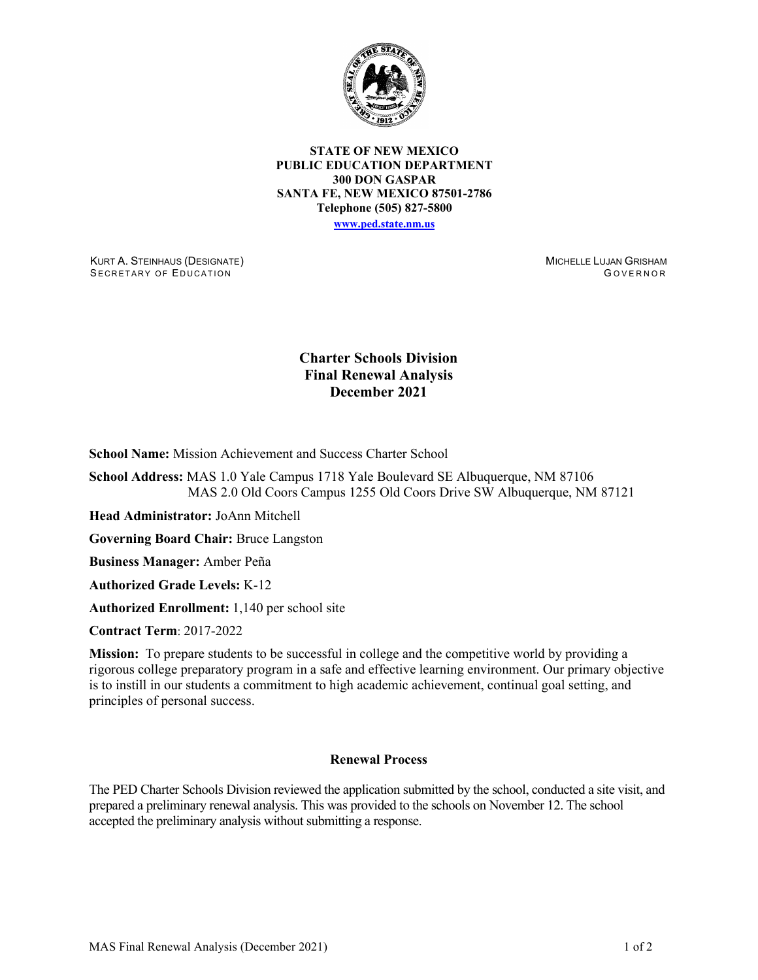

**STATE OF NEW MEXICO PUBLIC EDUCATION DEPARTMENT 300 DON GASPAR SANTA FE, NEW MEXICO 87501-2786 Telephone (505) 827-5800 [www.ped.state.nm.us](http://webnew.ped.state.nm.us/)**

KURT A. STEINHAUS (DESIGNATE) SECRETARY OF EDUCATION

MICHELLE LUJAN GRISHAM G OVERNOR

## **Charter Schools Division Final Renewal Analysis December 2021**

**School Name:** Mission Achievement and Success Charter School

**School Address:** MAS 1.0 Yale Campus 1718 Yale Boulevard SE Albuquerque, NM 87106 MAS 2.0 Old Coors Campus 1255 Old Coors Drive SW Albuquerque, NM 87121

**Head Administrator:** JoAnn Mitchell

**Governing Board Chair:** Bruce Langston

**Business Manager:** Amber Peña

**Authorized Grade Levels:** K-12

**Authorized Enrollment:** 1,140 per school site

**Contract Term**: 2017-2022

**Mission:** To prepare students to be successful in college and the competitive world by providing a rigorous college preparatory program in a safe and effective learning environment. Our primary objective is to instill in our students a commitment to high academic achievement, continual goal setting, and principles of personal success.

## **Renewal Process**

The PED Charter Schools Division reviewed the application submitted by the school, conducted a site visit, and prepared a preliminary renewal analysis. This was provided to the schools on November 12. The school accepted the preliminary analysis without submitting a response.